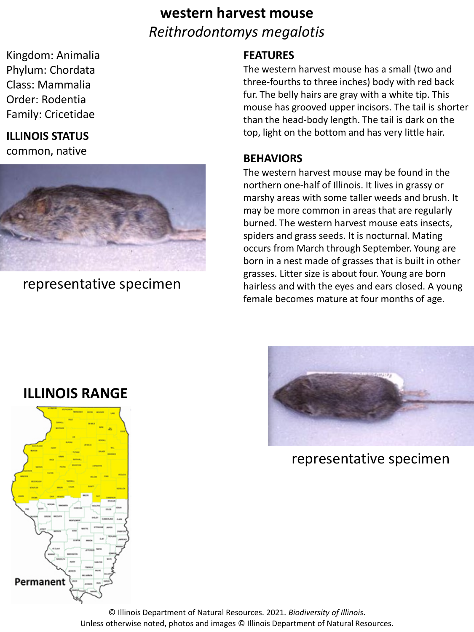# **western harvest mouse** *Reithrodontomys megalotis*

Kingdom: Animalia Phylum: Chordata Class: Mammalia Order: Rodentia Family: Cricetidae

## **ILLINOIS STATUS**

common, native



representative specimen

#### **FEATURES**

The western harvest mouse has a small (two and three-fourths to three inches) body with red back fur. The belly hairs are gray with a white tip. This mouse has grooved upper incisors. The tail is shorter than the head-body length. The tail is dark on the top, light on the bottom and has very little hair.

#### **BEHAVIORS**

The western harvest mouse may be found in the northern one-half of Illinois. It lives in grassy or marshy areas with some taller weeds and brush. It may be more common in areas that are regularly burned. The western harvest mouse eats insects, spiders and grass seeds. It is nocturnal. Mating occurs from March through September. Young are born in a nest made of grasses that is built in other grasses. Litter size is about four. Young are born hairless and with the eyes and ears closed. A young female becomes mature at four months of age.



representative specimen



**ILLINOIS RANGE**

© Illinois Department of Natural Resources. 2021. *Biodiversity of Illinois*. Unless otherwise noted, photos and images © Illinois Department of Natural Resources.